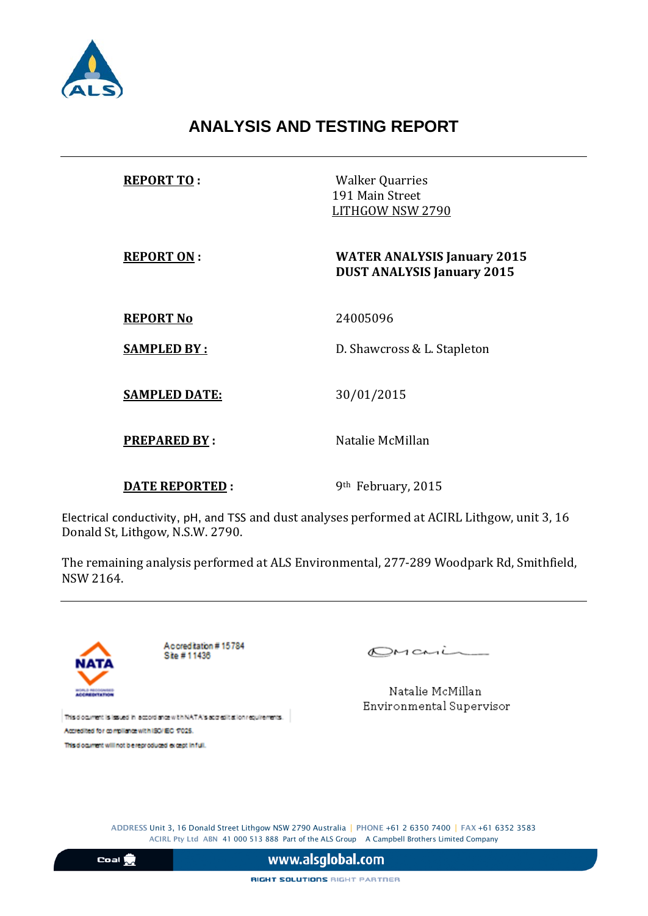

# **ANALYSIS AND TESTING REPORT**

| <b>REPORT TO:</b>     | <b>Walker Quarries</b><br>191 Main Street<br>LITHGOW NSW 2790           |  |  |
|-----------------------|-------------------------------------------------------------------------|--|--|
| <b>REPORT ON:</b>     | <b>WATER ANALYSIS January 2015</b><br><b>DUST ANALYSIS January 2015</b> |  |  |
| <b>REPORT No</b>      | 24005096                                                                |  |  |
| <b>SAMPLED BY:</b>    | D. Shawcross & L. Stapleton                                             |  |  |
| <b>SAMPLED DATE:</b>  | 30/01/2015                                                              |  |  |
| <b>PREPARED BY:</b>   | Natalie McMillan                                                        |  |  |
| <b>DATE REPORTED:</b> | 9 <sup>th</sup> February, 2015                                          |  |  |

Electrical conductivity, pH, and TSS and dust analyses performed at ACIRL Lithgow, unit 3, 16 Donald St, Lithgow, N.S.W. 2790.

The remaining analysis performed at ALS Environmental, 277-289 Woodpark Rd, Smithfield, NSW 2164.



Accreditation #15784 Site #11436

 $OMani$ 

Natalie McMillan Environmental Supervisor

This document is issued in accordance with NATA's accredit at lon requirements. Accredited for compilance with ISO/IEC 17025.

This document will not be reproduced except in full.

ADDRESS Unit 3, 16 Donald Street Lithgow NSW 2790 Australia | PHONE +61 2 6350 7400 | FAX +61 6352 3583 ACIRL Pty Ltd ABN 41 000 513 888 Part of the ALS Group A Campbell Brothers Limited Company

 $\frac{1}{2}$ 

www.alsglobal.com

RIGHT SOLUTIONS RIGHT PARTNER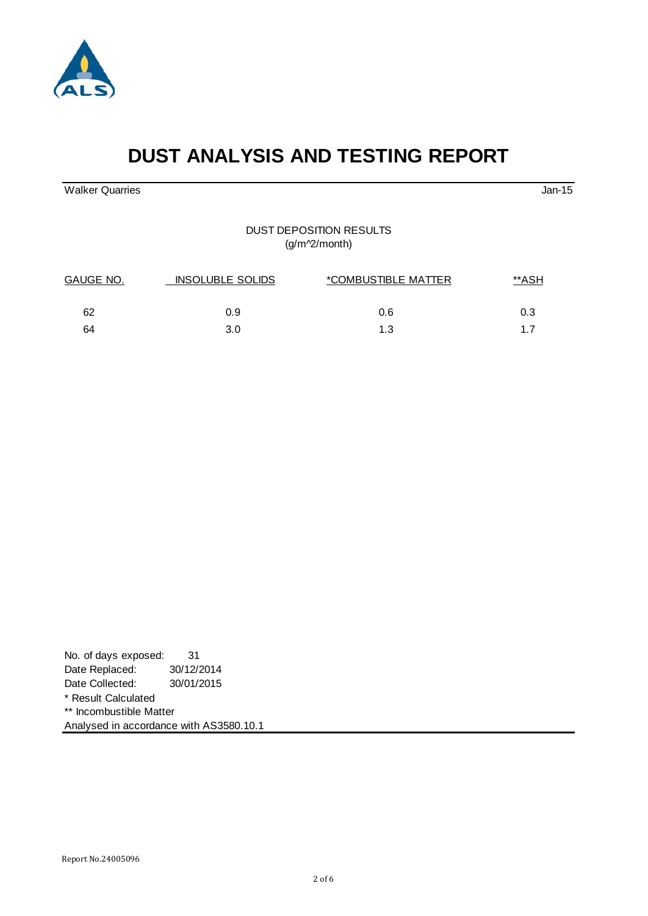#### Report No.24005096

| No. of days exposed:                    | 31         |  |  |
|-----------------------------------------|------------|--|--|
| Date Replaced:                          | 30/12/2014 |  |  |
| Date Collected:                         | 30/01/2015 |  |  |
| * Result Calculated                     |            |  |  |
| ** Incombustible Matter                 |            |  |  |
| Analysed in accordance with AS3580.10.1 |            |  |  |

# **DUST ANALYSIS AND TESTING REPORT**

Walker Quarries Jan-15

### DUST DEPOSITION RESULTS (g/m^2/month)

| GAUGE NO. | <b>INSOLUBLE SOLIDS</b> | *COMBUSTIBLE MATTER | **ASH |  |
|-----------|-------------------------|---------------------|-------|--|
| 62        | 0.9                     | 0.6                 | 0.3   |  |
| 64        | 3.0                     | 1.3                 |       |  |

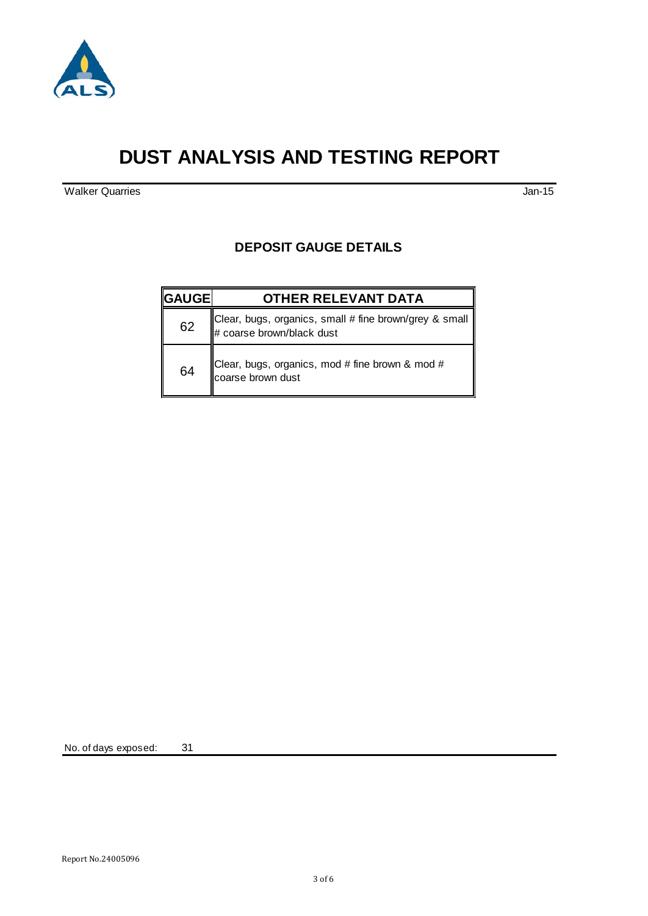

# **DUST ANALYSIS AND TESTING REPORT**

Walker Quarries Jan-15

### **DEPOSIT GAUGE DETAILS**

| <b>  GAUGE </b> | <b>OTHER RELEVANT DATA</b>                                                            |  |
|-----------------|---------------------------------------------------------------------------------------|--|
| 62              | Clear, bugs, organics, small # fine brown/grey & small  <br># coarse brown/black dust |  |
| 64              | Clear, bugs, organics, mod # fine brown & mod #<br>coarse brown dust                  |  |

No. of days exposed: 31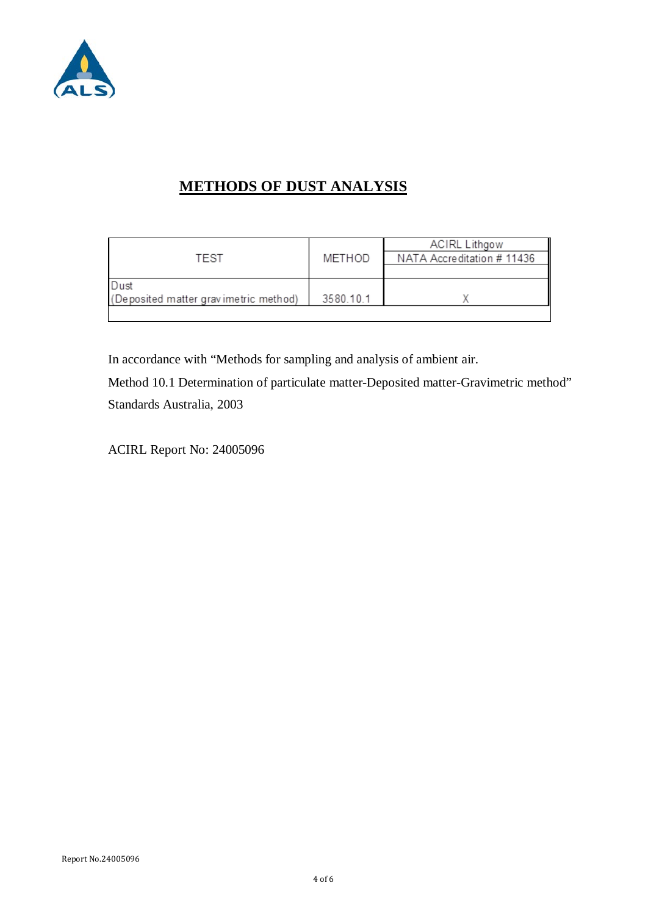

# **METHODS OF DUST ANALYSIS**

|                                       |           | <b>ACIRL Lithgow</b>       |
|---------------------------------------|-----------|----------------------------|
| TEST                                  | METHOD    | NATA Accreditation # 11436 |
|                                       |           |                            |
| Dust                                  |           |                            |
| (Deposited matter gravimetric method) | 3580.10.1 |                            |
|                                       |           |                            |

In accordance with "Methods for sampling and analysis of ambient air.

Method 10.1 Determination of particulate matter-Deposited matter-Gravimetric method" Standards Australia, 2003

ACIRL Report No: 24005096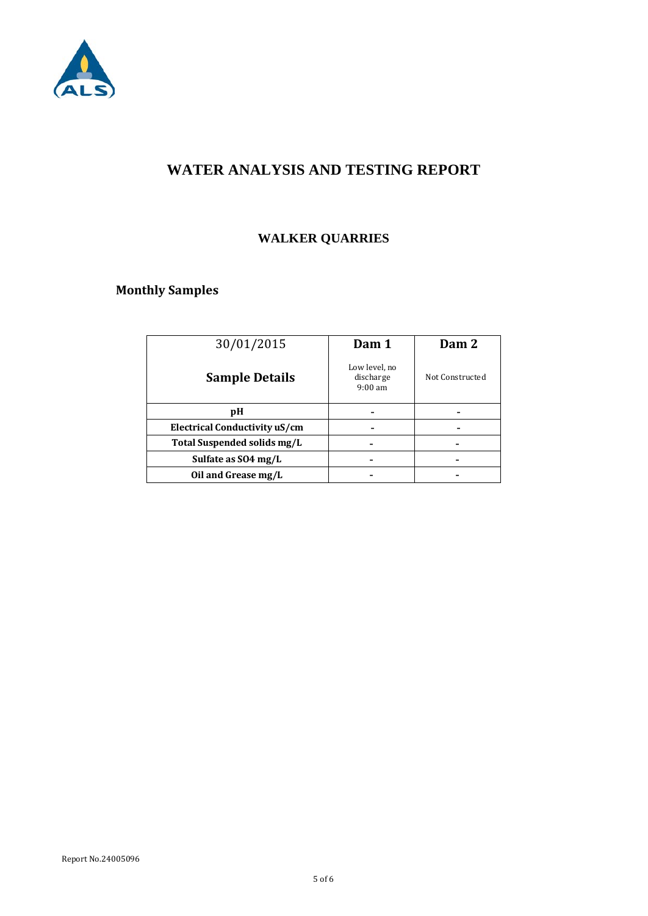

# **WATER ANALYSIS AND TESTING REPORT**

# **WALKER QUARRIES**

# **Monthly Samples**

| 30/01/2015                    | Dam 1                                           | Dam 2           |
|-------------------------------|-------------------------------------------------|-----------------|
| <b>Sample Details</b>         | Low level, no<br>discharge<br>$9:00 \text{ am}$ | Not Constructed |
| рH                            |                                                 |                 |
| Electrical Conductivity uS/cm |                                                 |                 |
| Total Suspended solids mg/L   |                                                 |                 |
| Sulfate as SO4 mg/L           |                                                 |                 |
| Oil and Grease mg/L           |                                                 |                 |